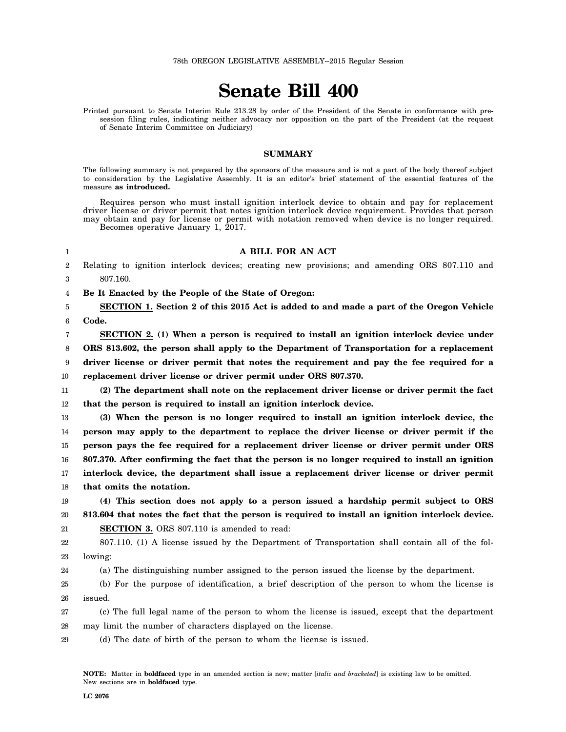# **Senate Bill 400**

Printed pursuant to Senate Interim Rule 213.28 by order of the President of the Senate in conformance with presession filing rules, indicating neither advocacy nor opposition on the part of the President (at the request of Senate Interim Committee on Judiciary)

### **SUMMARY**

The following summary is not prepared by the sponsors of the measure and is not a part of the body thereof subject to consideration by the Legislative Assembly. It is an editor's brief statement of the essential features of the measure **as introduced.**

Requires person who must install ignition interlock device to obtain and pay for replacement driver license or driver permit that notes ignition interlock device requirement. Provides that person may obtain and pay for license or permit with notation removed when device is no longer required. Becomes operative January 1, 2017.

#### 1

#### **A BILL FOR AN ACT**

2 3 Relating to ignition interlock devices; creating new provisions; and amending ORS 807.110 and 807.160.

4 **Be It Enacted by the People of the State of Oregon:**

5 6 **SECTION 1. Section 2 of this 2015 Act is added to and made a part of the Oregon Vehicle Code.**

7 8 9 10 **SECTION 2. (1) When a person is required to install an ignition interlock device under ORS 813.602, the person shall apply to the Department of Transportation for a replacement driver license or driver permit that notes the requirement and pay the fee required for a replacement driver license or driver permit under ORS 807.370.**

11 12 **(2) The department shall note on the replacement driver license or driver permit the fact that the person is required to install an ignition interlock device.**

13 14 15 16 17 18 **(3) When the person is no longer required to install an ignition interlock device, the person may apply to the department to replace the driver license or driver permit if the person pays the fee required for a replacement driver license or driver permit under ORS 807.370. After confirming the fact that the person is no longer required to install an ignition interlock device, the department shall issue a replacement driver license or driver permit that omits the notation.**

19 20 21 **(4) This section does not apply to a person issued a hardship permit subject to ORS 813.604 that notes the fact that the person is required to install an ignition interlock device. SECTION 3.** ORS 807.110 is amended to read:

22 23 807.110. (1) A license issued by the Department of Transportation shall contain all of the following:

24 (a) The distinguishing number assigned to the person issued the license by the department.

25 26 (b) For the purpose of identification, a brief description of the person to whom the license is issued.

27 28 (c) The full legal name of the person to whom the license is issued, except that the department may limit the number of characters displayed on the license.

29 (d) The date of birth of the person to whom the license is issued.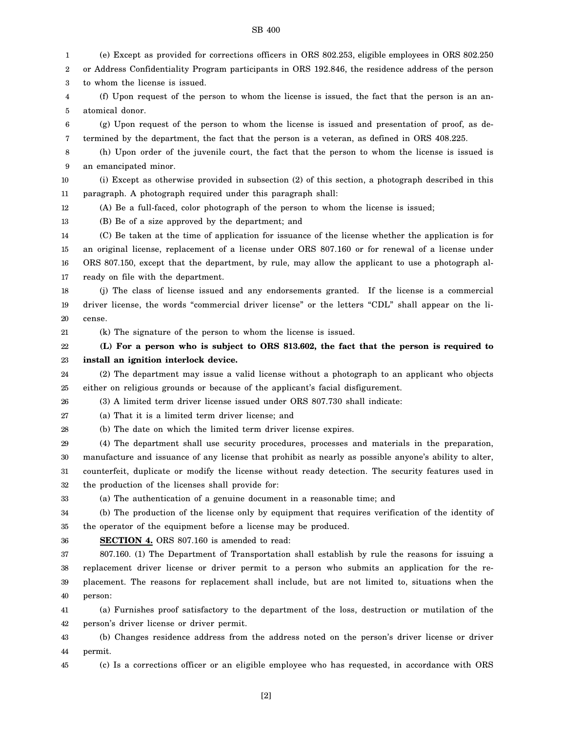SB 400

1 2 3 4 5 6 7 8 9 10 11 12 13 14 15 16 17 18 19 20 21 22 23 24 25 26 27 28 29 30 31 32 33 34 35 36 37 38 39 40 41 42 43 44 45 (e) Except as provided for corrections officers in ORS 802.253, eligible employees in ORS 802.250 or Address Confidentiality Program participants in ORS 192.846, the residence address of the person to whom the license is issued. (f) Upon request of the person to whom the license is issued, the fact that the person is an anatomical donor. (g) Upon request of the person to whom the license is issued and presentation of proof, as determined by the department, the fact that the person is a veteran, as defined in ORS 408.225. (h) Upon order of the juvenile court, the fact that the person to whom the license is issued is an emancipated minor. (i) Except as otherwise provided in subsection (2) of this section, a photograph described in this paragraph. A photograph required under this paragraph shall: (A) Be a full-faced, color photograph of the person to whom the license is issued; (B) Be of a size approved by the department; and (C) Be taken at the time of application for issuance of the license whether the application is for an original license, replacement of a license under ORS 807.160 or for renewal of a license under ORS 807.150, except that the department, by rule, may allow the applicant to use a photograph already on file with the department. (j) The class of license issued and any endorsements granted. If the license is a commercial driver license, the words "commercial driver license" or the letters "CDL" shall appear on the license. (k) The signature of the person to whom the license is issued. **(L) For a person who is subject to ORS 813.602, the fact that the person is required to install an ignition interlock device.** (2) The department may issue a valid license without a photograph to an applicant who objects either on religious grounds or because of the applicant's facial disfigurement. (3) A limited term driver license issued under ORS 807.730 shall indicate: (a) That it is a limited term driver license; and (b) The date on which the limited term driver license expires. (4) The department shall use security procedures, processes and materials in the preparation, manufacture and issuance of any license that prohibit as nearly as possible anyone's ability to alter, counterfeit, duplicate or modify the license without ready detection. The security features used in the production of the licenses shall provide for: (a) The authentication of a genuine document in a reasonable time; and (b) The production of the license only by equipment that requires verification of the identity of the operator of the equipment before a license may be produced. **SECTION 4.** ORS 807.160 is amended to read: 807.160. (1) The Department of Transportation shall establish by rule the reasons for issuing a replacement driver license or driver permit to a person who submits an application for the replacement. The reasons for replacement shall include, but are not limited to, situations when the person: (a) Furnishes proof satisfactory to the department of the loss, destruction or mutilation of the person's driver license or driver permit. (b) Changes residence address from the address noted on the person's driver license or driver permit. (c) Is a corrections officer or an eligible employee who has requested, in accordance with ORS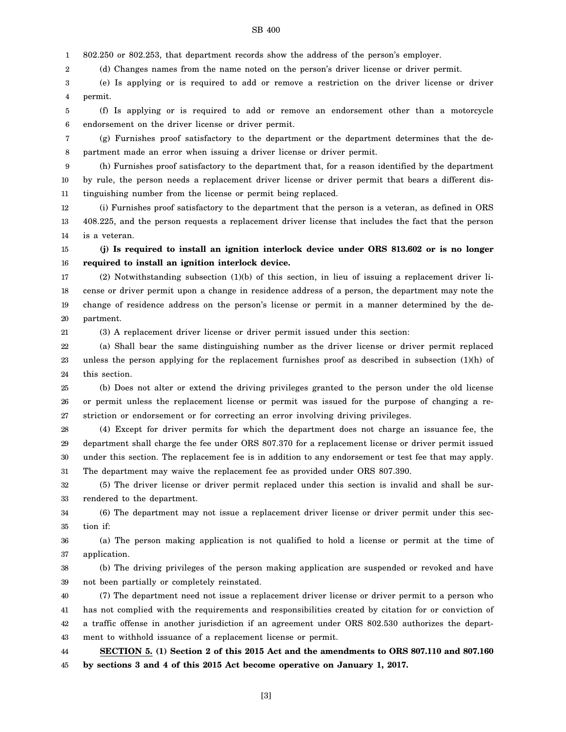#### SB 400

1 802.250 or 802.253, that department records show the address of the person's employer.

2 (d) Changes names from the name noted on the person's driver license or driver permit.

3 4 (e) Is applying or is required to add or remove a restriction on the driver license or driver permit.

5 6 (f) Is applying or is required to add or remove an endorsement other than a motorcycle endorsement on the driver license or driver permit.

7 8 (g) Furnishes proof satisfactory to the department or the department determines that the department made an error when issuing a driver license or driver permit.

9 10 11 (h) Furnishes proof satisfactory to the department that, for a reason identified by the department by rule, the person needs a replacement driver license or driver permit that bears a different distinguishing number from the license or permit being replaced.

12 13 14 (i) Furnishes proof satisfactory to the department that the person is a veteran, as defined in ORS 408.225, and the person requests a replacement driver license that includes the fact that the person is a veteran.

15 16 **(j) Is required to install an ignition interlock device under ORS 813.602 or is no longer required to install an ignition interlock device.**

17 18 19 20 (2) Notwithstanding subsection (1)(b) of this section, in lieu of issuing a replacement driver license or driver permit upon a change in residence address of a person, the department may note the change of residence address on the person's license or permit in a manner determined by the department.

(3) A replacement driver license or driver permit issued under this section:

22 23 24 (a) Shall bear the same distinguishing number as the driver license or driver permit replaced unless the person applying for the replacement furnishes proof as described in subsection (1)(h) of this section.

25 26 27 (b) Does not alter or extend the driving privileges granted to the person under the old license or permit unless the replacement license or permit was issued for the purpose of changing a restriction or endorsement or for correcting an error involving driving privileges.

28 29 30 31 (4) Except for driver permits for which the department does not charge an issuance fee, the department shall charge the fee under ORS 807.370 for a replacement license or driver permit issued under this section. The replacement fee is in addition to any endorsement or test fee that may apply. The department may waive the replacement fee as provided under ORS 807.390.

32 33 (5) The driver license or driver permit replaced under this section is invalid and shall be surrendered to the department.

34 35 (6) The department may not issue a replacement driver license or driver permit under this section if:

36 37 (a) The person making application is not qualified to hold a license or permit at the time of application.

38 39 (b) The driving privileges of the person making application are suspended or revoked and have not been partially or completely reinstated.

40 41 42 43 44 (7) The department need not issue a replacement driver license or driver permit to a person who has not complied with the requirements and responsibilities created by citation for or conviction of a traffic offense in another jurisdiction if an agreement under ORS 802.530 authorizes the department to withhold issuance of a replacement license or permit. **SECTION 5. (1) Section 2 of this 2015 Act and the amendments to ORS 807.110 and 807.160**

45 **by sections 3 and 4 of this 2015 Act become operative on January 1, 2017.**

21